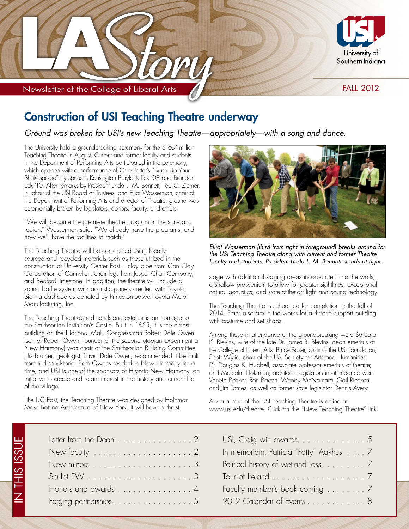

Newsletter of the College of Liberal Arts

### **FALL 2012**

### **Construction of USI Teaching Theatre underway**

Ground was broken for USI's new Teaching Theatre-appropriately-with a song and dance.

The University held a groundbreaking ceremony for the \$16.7 million Teaching Theatre in August. Current and former faculty and students in the Department of Performing Arts participated in the ceremony, which opened with a performance of Cole Porter's "Brush Up Your Shakespeare" by spouses Kensington Blaylock Eck '08 and Brandon Eck '10. After remarks by President Linda L. M. Bennett, Ted C. Ziemer, Jr., chair of the USI Board of Trustees, and Elliot Wasserman, chair of the Department of Performing Arts and director of Theatre, ground was ceremonially broken by legislators, donors, faculty, and others.

"We will become the premiere theatre program in the state and region," Wasserman said. "We already have the programs, and now we'll have the facilities to match."

The Teaching Theatre will be constructed using locallysourced and recycled materials such as those utilized in the construction of University Center East - clay pipe from Can Clay Corporation of Cannelton, chair legs from Jasper Chair Company, and Bedford limestone. In addition, the theatre will include a sound baffle system with acoustic panels created with Toyota Sienna dashboards donated by Princeton-based Toyota Motor Manufacturing, Inc.

The Teaching Theatre's red sandstone exterior is an homage to the Smithsonian Institution's Castle. Built in 1855, it is the oldest building on the National Mall. Congressman Robert Dale Owen (son of Robert Owen, founder of the second utopian experiment at New Harmony) was chair of the Smithsonian Building Committee. His brother, geologist David Dale Owen, recommended it be built from red sandstone. Both Owens resided in New Harmony for a time, and USI is one of the sponsors of Historic New Harmony, an initiative to create and retain interest in the history and current life of the village.

Like UC East, the Teaching Theatre was designed by Holzman Moss Bottino Architecture of New York. It will have a thrust

IN THIS ISSU



Elliot Wasserman (third from right in foreground) breaks ground for the USI Teaching Theatre along with current and former Theatre faculty and students. President Linda L. M. Bennett stands at right.

stage with additional staging areas incorporated into the walls, a shallow proscenium to allow for greater sightlines, exceptional natural acoustics, and state-of-the-art light and sound technology.

The Teaching Theatre is scheduled for completion in the fall of 2014. Plans also are in the works for a theatre support building with costume and set shops.

Among those in attendance at the groundbreaking were Barbara K. Blevins, wife of the late Dr. James R. Blevins, dean emeritus of the College of Liberal Arts; Bruce Baker, chair of the USI Foundation; Scott Wylie, chair of the USI Society for Arts and Humanities; Dr. Douglas K. Hubbell, associate professor emeritus of theatre; and Malcolm Holzman, architect. Legislators in attendance were Vaneta Becker, Ron Bacon, Wendy McNamara, Gail Riecken, and Jim Tomes, as well as former state legislator Dennis Avery.

A virtual tour of the USI Teaching Theatre is online at www.usi.edu/theatre. Click on the "New Teaching Theatre" link.

| Letter from the Dean $\ldots \ldots \ldots \ldots 2$               | USI, Craig win awards 5                |
|--------------------------------------------------------------------|----------------------------------------|
| New faculty $\dots \dots \dots \dots \dots \dots \dots 2$          | In memoriam: Patricia "Patty" Aakhus 7 |
|                                                                    |                                        |
| $S$ culpt EVV $\ldots \ldots \ldots \ldots \ldots \ldots \ldots 3$ |                                        |
| Honors and awards 4                                                | Faculty member's book coming 7         |
| Forging partnerships 5                                             | 2012 Calendar of Events 8              |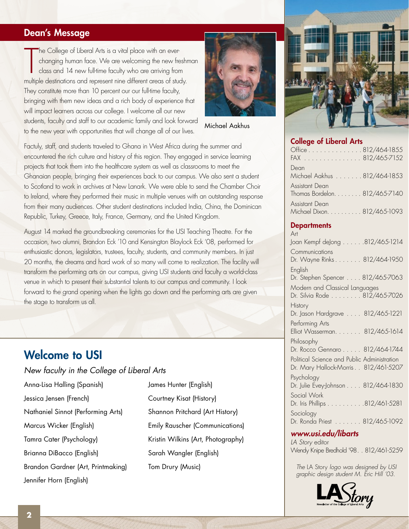### Dean's Message

The College of Liberal Arts is a vital place with an ever-<br>changing human face. We are welcoming the new freshn<br>class and 14 new full-time faculty who are arriving from<br>multiple destinations and represent nine different ar he College of Liberal Arts is a vital place with an everchanging human face. We are welcoming the new freshman class and 14 new full-time faculty who are arriving from They constitute more than 10 percent our our full-time faculty, bringing with them new ideas and a rich body of experience that will impact learners across our college. I welcome all our new students, faculty and staff to our academic family and look forward to the new year with opportunities that will change all of our lives.



Michael Aakhus

Factuly, staff, and students traveled to Ghana in West Africa during the summer and encountered the rich culture and history of this region. They engaged in service learning projects that took them into the healthcare system as well as classrooms to meet the Ghanaian people, bringing their experiences back to our campus. We also sent a student to Scotland to work in archives at New Lanark. We were able to send the Chamber Choir to Ireland, where they performed their music in multiple venues with an outstanding response from their many audiences. Other student destinations included India, China, the Dominican Republic, Turkey, Greece, Italy, France, Germany, and the United Kingdom.

August 14 marked the groundbreaking ceremonies for the USI Teaching Theatre. For the occasion, two alumni, Brandon Eck '10 and Kensington Blaylock Eck '08, performed for enthusiastic donors, legislators, trustees, faculty, students, and community members. In just 20 months, the dreams and hard work of so many will come to realization. The facility will transform the performing arts on our campus, giving USI students and faculty a world-class venue in which to present their substantial talents to our campus and community. I look forward to the grand opening when the lights go down and the performing arts are given the stage to transform us all.

### Welcome to USI

New faculty in the College of Liberal Arts

Anna-Lisa Halling (Spanish) Jessica Jensen (French) Nathaniel Sinnot (Performing Arts) Marcus Wicker (English) Tamra Cater (Psychology) Brianna DiBacco (English) Brandon Gardner (Art, Printmaking) Jennifer Horn (English)

James Hunter (English) Courtney Kisat (History) Shannon Pritchard (Art History) Emily Rauscher (Communications) Kristin Wilkins (Art, Photography) Sarah Wangler (English) Tom Drury (Music)



#### College of Liberal Arts

| Office 812/464-1855<br>FAX 812/465-7152              |
|------------------------------------------------------|
| Dean<br>Michael Aakhus 812/464-1853                  |
| Assistant Dean<br>Thomas Bordelon. 812/465-7140      |
| <b>Assistant Dean</b><br>Michael Dixon. 812/465-1093 |

#### **Departments**

Art Joan Kempf deJong . . . . . .812/465-1214 **Communications** Dr. Wayne Rinks. . . . . . . 812/464-1950 **English** Dr. Stephen Spencer . . . . 812/465-7063 Modern and Classical Languages Dr. Silvia Rode . . . . . . . . 812/465-7026 History Dr. Jason Hardgrave . . . . 812/465-1221 Performing Arts Elliot Wasserman. . . . . . . 812/465-1614 Philosophy Dr. Rocco Gennaro . . . . . 812/464-1744 Political Science and Public Administration Dr. Mary Hallock-Morris. . 812/461-5207 Psychology Dr. Julie Evey-Johnson . . . . 812/464-1830 Social Work Dr. Iris Phillips . . . . . . . . . .812/461-5281 Sociology Dr. Ronda Priest . . . . . . . 812/465-1092

### www.usi.edu/libarts

LA Story editor Wendy Knipe Bredhold '98. . 812/461-5259

The LA Story logo was designed by USI graphic design student M. Eric Hill '03.

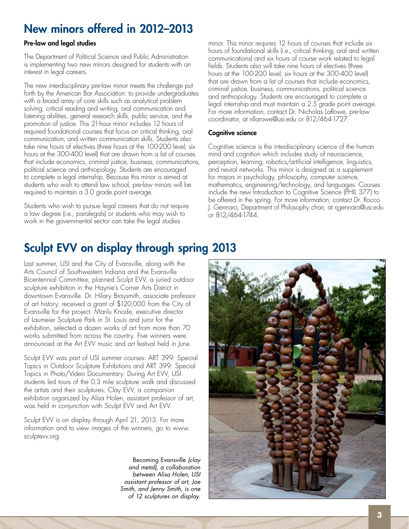# New minors offered in 2012–2013

#### Pre-law and legal studies

The Department of Political Science and Public Administration is implementing two new minors designed for students with an interest in legal careers.

The new interdisciplinary pre-law minor meets the challenge put forth by the American Bar Association: to provide undergraduates with a broad array of core skills such as analytical problem solving, critical reading and writing, oral communication and listening abilities, general research skills, public service, and the promotion of justice. This 21-hour minor includes 12 hours of required foundational courses that focus on critical thinking, oral communication, and written communication skills. Students also take nine hours of electives (three hours at the 100-200 level; six hours at the 300-400 level) that are drawn from a list of courses that include economics, criminal justice, business, communications, political science and anthropology. Students are encouraged to complete a legal internship. Because this minor is aimed at students who wish to attend law school, pre-law minors will be required to maintain a 3.0 grade point average.

Students who wish to pursue legal careers that do not require a law degree (i.e., paralegals) or students who may wish to work in the governmental sector can take the legal studies

minor. This minor requires 12 hours of courses that include six hours of foundational skills (i.e., critical thinking; oral and written communications) and six hours of course work related to legal fields. Students also will take nine hours of electives (three hours at the 100-200 level; six hours at the 300-400 level) that are drawn from a list of courses that include economics, criminal justice, business, communications, political science and anthropology. Students are encouraged to complete a legal internship and must maintain a 2.5 grade point average. For more information, contact Dr. Nicholas LaRowe, pre-law coordinator, at nllarowe@usi.edu or 812/464-1727.

#### Cognitive science

Cognitive science is the interdisciplinary science of the human mind and cognition which includes study of neuroscience, perception, learning, robotics/artificial intelligence, linguistics, and neural networks. This minor is designed as a supplement for majors in psychology, philosophy, computer science, mathematics, engineering/technology, and languages. Courses include the new Introduction to Cognitive Science (PHIL 377) to be offered in the spring. For more information, contact Dr. Rocco J. Gennaro, Department of Philosophy chair, at rjgennaro@usi.edu or 812/464-1744.

# Sculpt EVV on display through spring 2013

Last summer, USI and the City of Evansville, along with the Arts Council of Southwestern Indiana and the Evansville Bicentennial Committee, planned Sculpt EVV, a juried outdoor sculpture exhibition in the Haynie's Corner Arts District in downtown Evansville. Dr. Hilary Braysmith, associate professor of art history, received a grant of \$120,000 from the City of Evansville for the project. Marilu Knode, executive director of Laumeier Sculpture Park in St. Louis and juror for the exhibition, selected a dozen works of art from more than 70 works submitted from across the country. Five winners were announced at the Art EVV music and art festival held in June.

Sculpt EVV was part of USI summer courses: ART 399: Special Topics in Outdoor Sculpture Exhibitions and ART 399: Special Topics in Photo/Video Documentary. During Art EVV, USI students led tours of the 0.3 mile sculpture walk and discussed the artists and their sculptures. Clay EVV, a companion exhibition organized by Alisa Holen, assistant professor of art, was held in conjunction with Sculpt EVV and Art EVV.

Sculpt EVV is on display through April 21, 2013. For more information and to view images of the winners, go to www. sculptevv.org.

> Becoming Evansville (clay and metal), a collaboration between Alisa Holen, USI assistant professor of art, Joe Smith, and Jenny Smith, is one of 12 sculptures on display.

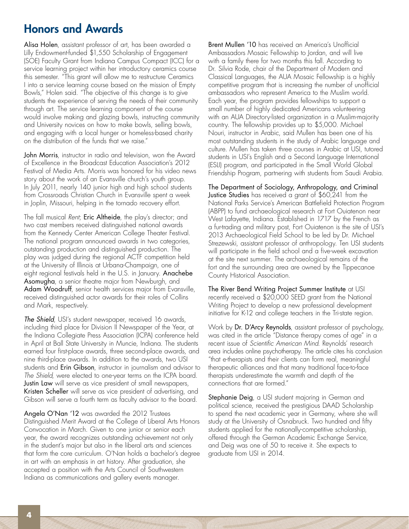# Honors and Awards

Alisa Holen, assistant professor of art, has been awarded a Lilly Endowment-funded \$1,550 Scholarship of Engagement (SOE) Faculty Grant from Indiana Campus Compact (ICC) for a service learning project within her introductory ceramics course this semester. "This grant will allow me to restructure Ceramics I into a service learning course based on the mission of Empty Bowls," Holen said. "The objective of this change is to give students the experience of serving the needs of their community through art. The service learning component of the course would involve making and glazing bowls, instructing community and University novices on how to make bowls, selling bowls, and engaging with a local hunger or homeless-based charity on the distribution of the funds that we raise."

John Morris, instructor in radio and television, won the Award of Excellence in the Broadcast Education Association's 2012 Festival of Media Arts. Morris was honored for his video news story about the work of an Evansville church's youth group. In July 2011, nearly 140 junior high and high school students from Crossroads Christian Church in Evansville spent a week in Joplin, Missouri, helping in the tornado recovery effort.

The fall musical Rent; Eric Altheide, the play's director; and two cast members received distinguished national awards from the Kennedy Center American College Theater Festival. The national program announced awards in two categories, outstanding production and distinguished production. The play was judged during the regional ACTF competition held at the University of Illinois at Urbana-Champaign, one of eight regional festivals held in the U.S. in January. Anachebe Asomugha, a senior theatre major from Newburgh, and Adam Woodruff, senior health services major from Evansville, received distinguished actor awards for their roles of Collins and Mark, respectively.

The Shield, USI's student newspaper, received 16 awards, including third place for Division II Newspaper of the Year, at the Indiana Collegiate Press Association (ICPA) conference held in April at Ball State University in Muncie, Indiana. The students earned four first-place awards, three second-place awards, and nine third-place awards. In addition to the awards, two USI students and Erin Gibson, instructor in journalism and advisor to The Shield, were elected to one-year terms on the ICPA board. Justin Law will serve as vice president of small newspapers, Kristen Scheller will serve as vice president of advertising, and Gibson will serve a fourth term as faculty advisor to the board.

Angela O'Nan '12 was awarded the 2012 Trustees Distinguished Merit Award at the College of Liberal Arts Honors Convocation in March. Given to one junior or senior each year, the award recognizes outstanding achievement not only in the student's major but also in the liberal arts and sciences that form the core curriculum. O'Nan holds a bachelor's degree in art with an emphasis in art history. After graduation, she accepted a position with the Arts Council of Southwestern Indiana as communications and gallery events manager.

Brent Mullen '10 has received an America's Unofficial Ambassadors Mosaic Fellowship to Jordan, and will live with a family there for two months this fall. According to Dr. Silvia Rode, chair of the Department of Modern and Classical Languages, the AUA Mosaic Fellowship is a highly competitive program that is increasing the number of unofficial ambassadors who represent America to the Muslim world. Each year, the program provides fellowships to support a small number of highly dedicated Americans volunteering with an AUA Directory-listed organization in a Muslim-majority country. The fellowship provides up to \$5,000. Michael Nouri, instructor in Arabic, said Mullen has been one of his most outstanding students in the study of Arabic language and culture. Mullen has taken three courses in Arabic at USI, tutored students in USI's English and a Second Language International (ESLI) program, and participated in the Small World Global Friendship Program, partnering with students from Saudi Arabia.

The Department of Sociology, Anthropology, and Criminal Justice Studies has received a grant of \$60,241 from the National Parks Service's American Battlefield Protection Program (ABPP) to fund archaeological research at Fort Ouiatenon near West Lafayette, Indiana. Established in 1717 by the French as a fur-trading and military post, Fort Ouiatenon is the site of USI's 2013 Archaeological Field School to be led by Dr. Michael Strezewski, assistant professor of anthropology. Ten USI students will participate in the field school and a five-week excavation at the site next summer. The archaeological remains of the fort and the surrounding area are owned by the Tippecanoe County Historical Association.

The River Bend Writing Project Summer Institute at USI recently received a \$20,000 SEED grant from the National Writing Project to develop a new professional development initiative for K-12 and college teachers in the Tri-state region.

Work by Dr. D'Arcy Reynolds, assistant professor of psychology, was cited in the article "Distance therapy comes of age" in a recent issue of Scientific American Mind. Reynolds' research area includes online psychotherapy. The article cites his conclusion "that e-therapists and their clients can form real, meaningful therapeutic alliances and that many traditional face-to-face therapists underestimate the warmth and depth of the connections that are formed."

Stephanie Deig, a USI student majoring in German and political science, received the prestigious DAAD Scholarship to spend the next academic year in Germany, where she will study at the University of Osnabruck. Two hundred and fifty students applied for the nationally-competitive scholarship, offered through the German Academic Exchange Service, and Deig was one of 50 to receive it. She expects to graduate from USI in 2014.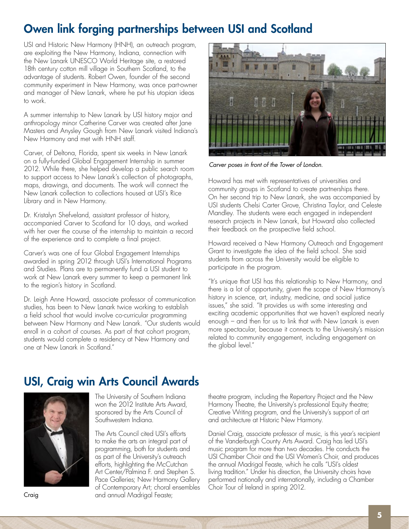# Owen link forging partnerships between USI and Scotland

USI and Historic New Harmony (HNH), an outreach program, are exploiting the New Harmony, Indiana, connection with the New Lanark UNESCO World Heritage site, a restored 18th century cotton mill village in Southern Scotland, to the advantage of students. Robert Owen, founder of the second community experiment in New Harmony, was once part-owner and manager of New Lanark, where he put his utopian ideas to work.

A summer internship to New Lanark by USI history major and anthropology minor Catherine Carver was created after Jane Masters and Anysley Gough from New Lanark visited Indiana's New Harmony and met with HNH staff.

Carver, of Deltona, Florida, spent six weeks in New Lanark on a fully-funded Global Engagement Internship in summer 2012. While there, she helped develop a public search room to support access to New Lanark's collection of photographs, maps, drawings, and documents. The work will connect the New Lanark collection to collections housed at USI's Rice Library and in New Harmony.

Dr. Kristalyn Shefveland, assistant professor of history, accompanied Carver to Scotland for 10 days, and worked with her over the course of the internship to maintain a record of the experience and to complete a final project.

Carver's was one of four Global Engagement Internships awarded in spring 2012 through USI's International Programs and Studies. Plans are to permanently fund a USI student to work at New Lanark every summer to keep a permanent link to the region's history in Scotland.

Dr. Leigh Anne Howard, associate professor of communication studies, has been to New Lanark twice working to establish a field school that would involve co-curricular programming between New Harmony and New Lanark. "Our students would enroll in a cohort of courses. As part of that cohort program, students would complete a residency at New Harmony and one at New Lanark in Scotland."



Carver poses in front of the Tower of London.

Howard has met with representatives of universities and community groups in Scotland to create partnerships there. On her second trip to New Lanark, she was accompanied by USI students Chelsi Carter Grove, Christina Taylor, and Celeste Mandley. The students were each engaged in independent research projects in New Lanark, but Howard also collected their feedback on the prospective field school.

Howard received a New Harmony Outreach and Engagement Grant to investigate the idea of the field school. She said students from across the University would be eligible to participate in the program.

"It's unique that USI has this relationship to New Harmony, and there is a lot of opportunity, given the scope of New Harmony's history in science, art, industry, medicine, and social justice issues," she said. "It provides us with some interesting and exciting academic opportunities that we haven't explored nearly enough – and then for us to link that with New Lanark is even more spectacular, because it connects to the University's mission related to community engagement, including engagement on the global level."

# USI, Craig win Arts Council Awards



The University of Southern Indiana won the 2012 Institute Arts Award, sponsored by the Arts Council of Southwestern Indiana.

The Arts Council cited USI's efforts to make the arts an integral part of programming, both for students and as part of the University's outreach efforts, highlighting the McCutchan Art Center/Palmina F. and Stephen S. Pace Galleries; New Harmony Gallery of Contemporary Art; choral ensembles and annual Madrigal Feaste;

theatre program, including the Repertory Project and the New Harmony Theatre, the University's professional Equity theatre; Creative Writing program, and the University's support of art and architecture at Historic New Harmony.

Daniel Craig, associate professor of music, is this year's recipient of the Vanderburgh County Arts Award. Craig has led USI's music program for more than two decades. He conducts the USI Chamber Choir and the USI Women's Choir, and produces the annual Madrigal Feaste, which he calls "USI's oldest living tradition." Under his direction, the University choirs have performed nationally and internationally, including a Chamber Choir Tour of Ireland in spring 2012.

Craig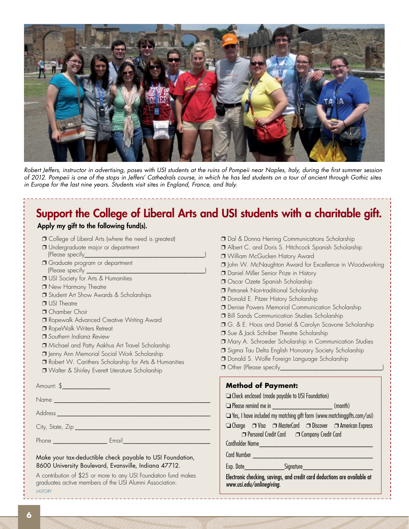

Robert Jeffers, instructor in advertising, poses with USI students at the ruins of Pompeii near Naples, Italy, during the first summer session of 2012. Pompeii is one of the stops in Jeffers' Cathedrals course, in which he has led students on a tour of ancient through Gothic sites in Europe for the last nine years. Students visit sites in England, France, and Italy.

### Support the College of Liberal Arts and USI students with a charitable gift. Apply my gift to the following fund(s).

| Apply my gift to the following fund(s).                                                                                       |  |  |
|-------------------------------------------------------------------------------------------------------------------------------|--|--|
| $\Box$ College of Liberal Arts (where the need is greatest)<br><b>J</b> Undergraduate major or department<br>(Please specify_ |  |  |
| O Graduate program or department<br>(Please specify _                                                                         |  |  |
| <b>J</b> USI Society for Arts & Humanities                                                                                    |  |  |
| <b>New Harmony Theatre</b>                                                                                                    |  |  |
| <b>J</b> Student Art Show Awards & Scholarships                                                                               |  |  |
| <b>D</b> USI Theatre                                                                                                          |  |  |
| $\sqcap$ Chamber Choir                                                                                                        |  |  |
| 7 Ropewalk Advanced Creative Writing Award                                                                                    |  |  |
| RopeWalk Writers Retreat                                                                                                      |  |  |
| $\sqcap$ Southern Indiana Review                                                                                              |  |  |
| Michael and Patty Aakhus Art Travel Scholarship                                                                               |  |  |
| <b>J</b> Jenny Ann Memorial Social Work Scholarship                                                                           |  |  |
| Robert W. Carithers Scholarship for Arts & Humanities                                                                         |  |  |
| U Walter & Shirley Everett Literature Scholarship                                                                             |  |  |
|                                                                                                                               |  |  |

Amount: \$\_\_\_\_\_\_\_\_\_\_\_\_\_\_\_\_\_\_\_\_\_

Name \_\_\_\_\_\_\_\_\_\_\_\_\_\_\_\_\_\_\_\_\_\_\_\_\_\_\_\_\_\_\_\_\_\_\_\_\_\_\_\_\_\_\_\_\_\_\_\_\_\_\_\_

Address \_\_\_\_\_\_\_\_\_\_\_\_\_\_\_\_\_\_\_\_\_\_\_\_\_\_\_\_\_\_\_\_\_\_\_\_\_\_\_\_\_\_\_\_\_\_\_\_\_\_\_

City, State, Zip \_\_\_\_\_\_\_\_\_\_\_\_\_\_\_\_\_\_\_\_\_\_\_\_\_\_\_\_\_\_\_\_\_\_\_\_\_\_\_\_\_\_\_\_\_

Phone \_\_\_\_\_\_\_\_\_\_\_\_\_\_\_\_\_\_ Email\_\_\_\_\_\_\_\_\_\_\_\_\_\_\_\_\_\_\_\_\_\_\_\_\_\_\_\_\_

Make your tax-deductible check payable to USI Foundation, 8600 University Boulevard, Evansville, Indiana 47712.

A contribution of \$25 or more to any USI Foundation fund makes graduates active members of the USI Alumni Association. LASTORY

\_\_\_\_\_\_\_\_\_\_\_\_\_\_\_\_\_\_\_\_\_\_\_\_

❐ Dal & Donna Herring Communications Scholarship ❐ Albert C. and Doris S. Hitchcock Spanish Scholarship ❐ William McGucken History Award ❐ John W. McNaughton Award for Excellence in Woodworking ❐ Daniel Miller Senior Prize in History ❐ Oscar Ozete Spanish Scholarship ❐ Petranek Non-traditional Scholarship ❐ Donald E. Pitzer History Scholarship ❐ Denise Powers Memorial Communication Scholarship ❐ Bill Sands Communication Studies Scholarship ❐ G. & E. Hoos and Daniel & Carolyn Scavone Scholarship **□** Sue & Jack Schriber Theatre Scholarship ❐ Mary A. Schroeder Scholarship in Communication Studies ❐ Sigma Tau Delta English Honorary Society Scholarship ❐ Donald S. Wolfe Foreign Language Scholarship ❐ Other (Please specify\_\_\_\_\_\_\_\_\_\_\_\_\_\_\_\_\_\_\_\_\_\_\_\_\_\_\_\_\_\_\_\_\_\_) **Method of Payment:**  ❏Check enclosed (made payable to USI Foundation) ❏Please remind me in \_\_\_\_\_\_\_\_\_\_\_\_\_\_\_\_\_\_ (month) ❏Yes, I have included my matching gift form (www.matchinggifts.com/usi) ❏Charge ❐ Visa ❐ MasterCard ❐ Discover ❐ American Express

❐ Personal Credit Card ❐ Company Credit Card

Cardholder Name \_\_\_\_\_\_\_\_\_\_\_\_\_\_\_\_\_\_\_\_\_\_\_\_\_\_\_\_\_\_\_\_\_\_

Card Number \_\_\_\_\_\_\_\_\_\_\_\_\_\_\_\_\_\_\_\_\_\_\_\_\_\_\_\_\_\_\_\_\_\_\_\_

Exp. Date entitled a Signature Exp.

Electronic checking, savings, and credit card deductions are available at www.usi.edu/onlinegiving.

\_\_\_\_\_\_\_\_\_\_\_\_\_\_\_\_\_\_\_\_\_\_\_\_\_\_\_\_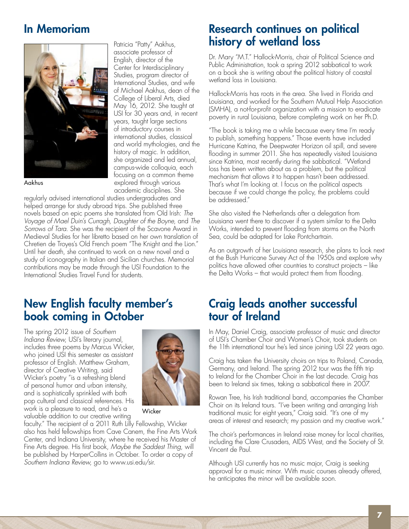# In Memoriam



Aakhus

Patricia "Patty" Aakhus, associate professor of English, director of the Center for Interdisciplinary Studies, program director of International Studies, and wife of Michael Aakhus, dean of the College of Liberal Arts, died May 16, 2012. She taught at USI for 30 years and, in recent years, taught large sections of introductory courses in international studies, classical and world mythologies, and the history of magic. In addition, she organized and led annual, campus-wide colloquia, each focusing on a common theme explored through various academic disciplines. She

regularly advised international studies undergraduates and helped arrange for study abroad trips. She published three novels based on epic poems she translated from Old Irish: The Voyage of Mael Duin's Curragh, Daughter of the Boyne, and The Sorrows of Tara. She was the recipient of the Scavone Award in Medieval Studies for her libretto based on her own translation of Chretien de Troyes's Old French poem "The Knight and the Lion." Until her death, she continued to work on a new novel and a study of iconography in Italian and Sicilian churches. Memorial contributions may be made through the USI Foundation to the International Studies Travel Fund for students.

### New English faculty member's book coming in October

The spring 2012 issue of Southern Indiana Review, USI's literary journal, includes three poems by Marcus Wicker, who joined USI this semester as assistant professor of English. Matthew Graham, director of Creative Writing, said Wicker's poetry "is a refreshing blend of personal humor and urban intensity, and is sophistically sprinkled with both pop cultural and classical references. His work is a pleasure to read, and he's a valuable addition to our creative writing



**Wicker** 

faculty." The recipient of a 2011 Ruth Lilly Fellowship, Wicker also has held fellowships from Cave Canem, the Fine Arts Work Center, and Indiana University, where he received his Master of Fine Arts degree. His first book, Maybe the Saddest Thing, will be published by HarperCollins in October. To order a copy of Southern Indiana Review, go to www.usi.edu/sir.

### Research continues on political history of wetland loss

Dr. Mary "M.T." Hallock-Morris, chair of Political Science and Public Administration, took a spring 2012 sabbatical to work on a book she is writing about the political history of coastal wetland loss in Louisiana.

Hallock-Morris has roots in the area. She lived in Florida and Louisiana, and worked for the Southern Mutual Help Association (SMHA), a not-for-profit organization with a mission to eradicate poverty in rural Louisiana, before completing work on her Ph.D.

"The book is taking me a while because every time I'm ready to publish, something happens." Those events have included Hurricane Katrina, the Deepwater Horizon oil spill, and severe flooding in summer 2011. She has repeatedly visited Louisiana since Katrina, most recently during the sabbatical. "Wetland loss has been written about as a problem, but the political mechanism that allows it to happen hasn't been addressed. That's what I'm looking at. I focus on the political aspects because if we could change the policy, the problems could be addressed."

She also visited the Netherlands after a delegation from Louisiana went there to discover if a system similar to the Delta Works, intended to prevent flooding from storms on the North Sea, could be adapted for Lake Pontchartrain.

As an outgrowth of her Louisiana research, she plans to look next at the Bush Hurricane Survey Act of the 1950s and explore why politics have allowed other countries to construct projects – like the Delta Works – that would protect them from flooding.

# Craig leads another successful tour of Ireland

In May, Daniel Craig, associate professor of music and director of USI's Chamber Choir and Women's Choir, took students on the 11th international tour he's led since joining USI 22 years ago.

Craig has taken the University choirs on trips to Poland, Canada, Germany, and Ireland. The spring 2012 tour was the fifth trip to Ireland for the Chamber Choir in the last decade. Craig has been to Ireland six times, taking a sabbatical there in 2007.

Rowan Tree, his Irish traditional band, accompanies the Chamber Choir on its Ireland tours. "I've been writing and arranging Irish traditional music for eight years," Craig said. "It's one of my areas of interest and research; my passion and my creative work."

The choir's performances in Ireland raise money for local charities, including the Clare Crusaders, AIDS West, and the Society of St. Vincent de Paul.

Although USI currently has no music major, Craig is seeking approval for a music minor. With music courses already offered, he anticipates the minor will be available soon.